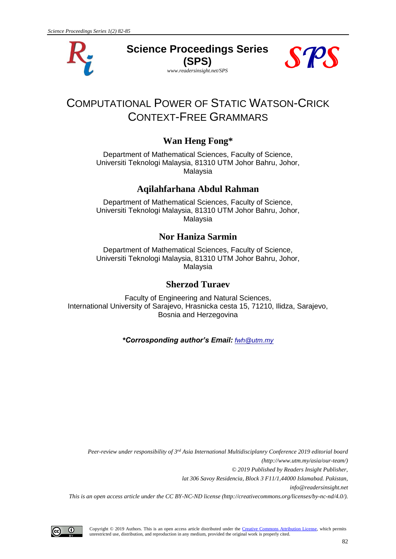

**Science Proceedings Series (SPS)**

*www.readersinsight.net/SPS*



# COMPUTATIONAL POWER OF STATIC WATSON-CRICK CONTEXT-FREE GRAMMARS

## **Wan Heng Fong\***

Department of Mathematical Sciences, Faculty of Science, Universiti Teknologi Malaysia, 81310 UTM Johor Bahru, Johor, Malaysia

## **Aqilahfarhana Abdul Rahman**

Department of Mathematical Sciences, Faculty of Science, Universiti Teknologi Malaysia, 81310 UTM Johor Bahru, Johor, Malaysia

## **Nor Haniza Sarmin**

Department of Mathematical Sciences, Faculty of Science, Universiti Teknologi Malaysia, 81310 UTM Johor Bahru, Johor, Malaysia

#### **Sherzod Turaev**

Faculty of Engineering and Natural Sciences, International University of Sarajevo, Hrasnicka cesta 15, 71210, Ilidza, Sarajevo, Bosnia and Herzegovina

*\*Corrosponding author's Email: fwh@utm.my*

*Peer-review under responsibility of 3 rd Asia International Multidisciplanry Conference 2019 editorial board (http://www.utm.my/asia/our-team/) © 2019 Published by Readers Insight Publisher, lat 306 Savoy Residencia, Block 3 F11/1,44000 Islamabad. Pakistan, [info@readersinsight.net](mailto:info@readersinsight.net) This is an open access article under the CC BY-NC-ND license (http://creativecommons.org/licenses/by-nc-nd/4.0/).*

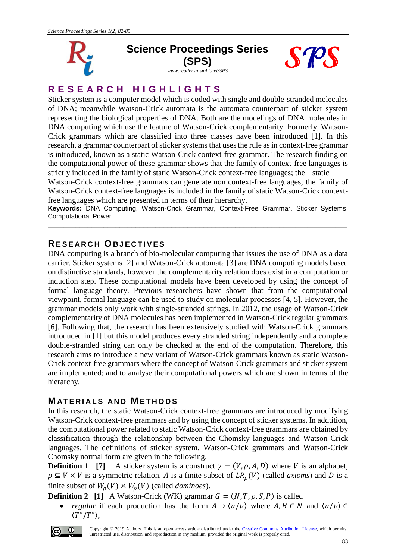

#### **Science Proceedings Series (SPS)** *www.readersinsight.net/SPS*





## **R E S E A R C H H I G H L I G H T S**

Sticker system is a computer model which is coded with single and double-stranded molecules of DNA; meanwhile Watson-Crick automata is the automata counterpart of sticker system representing the biological properties of DNA. Both are the modelings of DNA molecules in DNA computing which use the feature of Watson-Crick complementarity. Formerly, Watson-Crick grammars which are classified into three classes have been introduced [1]. In this research, a grammar counterpart of sticker systems that uses the rule as in context-free grammar is introduced, known as a static Watson-Crick context-free grammar. The research finding on the computational power of these grammar shows that the family of context-free languages is strictly included in the family of static Watson-Crick context-free languages; the static

Watson-Crick context-free grammars can generate non context-free languages; the family of Watson-Crick context-free languages is included in the family of static Watson-Crick contextfree languages which are presented in terms of their hierarchy.

**Keywords:** DNA Computing, Watson-Crick Grammar, Context-Free Grammar, Sticker Systems, Computational Power \_\_\_\_\_\_\_\_\_\_\_\_\_\_\_\_\_\_\_\_\_\_\_\_\_\_\_\_\_\_\_\_\_\_\_\_\_\_\_\_\_\_\_\_\_\_\_\_\_\_\_\_\_\_\_\_\_\_\_\_\_\_\_\_\_\_\_\_\_\_\_\_\_\_\_

## **RE S E A R C H OB J E C T I V E S**

DNA computing is a branch of bio-molecular computing that issues the use of DNA as a data carrier. Sticker systems [2] and Watson-Crick automata [3] are DNA computing models based on distinctive standards, however the complementarity relation does exist in a computation or induction step. These computational models have been developed by using the concept of formal language theory. Previous researchers have shown that from the computational viewpoint, formal language can be used to study on molecular processes [4, 5]. However, the grammar models only work with single-stranded strings. In 2012, the usage of Watson-Crick complementarity of DNA molecules has been implemented in Watson-Crick regular grammars [6]. Following that, the research has been extensively studied with Watson-Crick grammars introduced in [1] but this model produces every stranded string independently and a complete double-stranded string can only be checked at the end of the computation. Therefore, this research aims to introduce a new variant of Watson-Crick grammars known as static Watson-Crick context-free grammars where the concept of Watson-Crick grammars and sticker system are implemented; and to analyse their computational powers which are shown in terms of the hierarchy.

### **M A T E R I A L S A N D M E T H O D S**

In this research, the static Watson-Crick context-free grammars are introduced by modifying Watson-Crick context-free grammars and by using the concept of sticker systems. In addtition, the computational power related to static Watson-Crick context-free grammars are obtained by classification through the relationship between the Chomsky languages and Watson-Crick languages. The definitions of sticker system, Watson-Crick grammars and Watson-Crick Chomsky normal form are given in the following.

**Definition 1** [7] A sticker system is a construct  $\gamma = (V, \rho, A, D)$  where V is an alphabet,  $\rho \subseteq V \times V$  is a symmetric relation, A is a finite subset of  $LR$ <sub> $\rho$ </sub>(V) (called *axioms*) and D is a finite subset of  $W_{\rho}(V) \times W_{\rho}(V)$  (called *dominoes*).

**Definition 2** [1] A Watson-Crick (WK) grammar  $G = (N, T, \rho, S, P)$  is called

*regular* if each production has the form  $A \to \langle u/v \rangle$  where  $A, B \in N$  and  $\langle u/v \rangle \in$  $\langle T^*/T^* \rangle$ ,

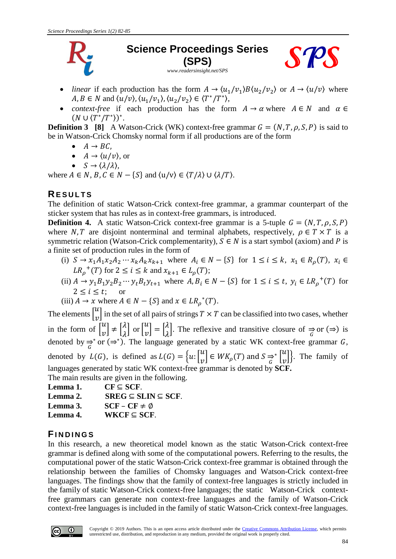

## **Science Proceedings Series (SPS)**



*www.readersinsight.net/SPS*

- *linear* if each production has the form  $A \to \langle u_1/v_1 \rangle B \langle u_2/v_2 \rangle$  or  $A \to \langle u/v \rangle$  where  $A, B \in N$  and  $\langle u/v \rangle, \langle u_1/v_1 \rangle, \langle u_2/v_2 \rangle \in \langle T^*/T^* \rangle$ ,
- *context-free* if each production has the form  $A \rightarrow \alpha$  where  $A \in N$  and  $\alpha \in \mathbb{R}$  $(N \cup \langle T^*/T^* \rangle)^*$ .

**Definition 3** [8] A Watson-Crick (WK) context-free grammar  $G = (N, T, \rho, S, P)$  is said to be in Watson-Crick Chomsky normal form if all productions are of the form

- $\bullet$   $A \rightarrow BC$ ,
- $A \rightarrow \langle u/v \rangle$ , or
- $S \rightarrow \langle \lambda/\lambda \rangle$ ,

where  $A \in N$ ,  $B, C \in N - \{S\}$  and  $\langle u/v \rangle \in \langle T/\lambda \rangle \cup \langle \lambda/T \rangle$ .

### **RE S U L T S**

The definition of static Watson-Crick context-free grammar, a grammar counterpart of the sticker system that has rules as in context-free grammars, is introduced.

**Definition 4.** A static Watson-Crick context-free grammar is a 5-tuple  $G = (N, T, \rho, S, P)$ where N, T are disjoint nonterminal and terminal alphabets, respectively,  $\rho \in T \times T$  is a symmetric relation (Watson-Crick complementarity),  $S \in N$  is a start symbol (axiom) and P is a finite set of production rules in the form of

- (i)  $S \to x_1 A_1 x_2 A_2 \cdots x_k A_k x_{k+1}$  where  $A_i \in N \{S\}$  for  $1 \le i \le k$ ,  $x_1 \in R_\rho(T)$ ,  $x_i \in$  $LR_{\rho}^{+}(T)$  for  $2 \leq i \leq k$  and  $x_{k+1} \in L_{\rho}(T)$ ;
- (ii)  $A \rightarrow y_1 B_1 y_2 B_2 \cdots y_t B_t y_{t+1}$  where  $A, B_i \in N \{S\}$  for  $1 \le i \le t$ ,  $y_i \in LR_p^+(T)$  for  $2 < i < t$ :

(iii) 
$$
A \to x
$$
 where  $A \in N - \{S\}$  and  $x \in LR_{\rho}^*(T)$ .

The elements  $\begin{bmatrix} u \\ v \end{bmatrix}$  $\begin{bmatrix} a \\ v \end{bmatrix}$  in the set of all pairs of strings  $T \times T$  can be classified into two cases, whether in the form of  $\begin{bmatrix} u \\ v \end{bmatrix}$  $\begin{bmatrix} u \\ v \end{bmatrix} \neq \begin{bmatrix} \lambda \\ \lambda \end{bmatrix}$  $\begin{bmatrix} \lambda \\ \lambda \end{bmatrix}$  or  $\begin{bmatrix} u \\ v \end{bmatrix}$  $\begin{bmatrix} u \\ v \end{bmatrix} = \begin{bmatrix} \lambda \\ \lambda \end{bmatrix}$  $\lambda$ . The reflexive and transitive closure of  $\Rightarrow$  or ( $\Rightarrow$ ) is denoted by  $\Rightarrow^*$  or ( $\Rightarrow^*$ ). The language generated by a static WK context-free grammar G, denoted by  $L(G)$ , is defined as  $L(G) = \{u: \begin{bmatrix} u & u \\ u & v \end{bmatrix}$  $\begin{bmatrix} u \\ v \end{bmatrix} \in WK_\rho(T)$  and  $S \underset{G}{\Rightarrow^*} \begin{bmatrix} u \\ v \end{bmatrix}$  $\begin{bmatrix} a \\ v \end{bmatrix}$ . The family of languages generated by static WK context-free grammar is denoted by **SCF.**  The main results are given in the following.

- **Lemma 1.**  $\text{CF} ⊆ \text{SCF}.$
- **Lemma 2. SREG** ⊆ **SLIN** ⊆ **SCF**.
- **Lemma 3. SCF CF**  $\neq \emptyset$
- **Lemma 4. WKCF** ⊆ **SCF**.

#### **FI N D I N G S**

In this research, a new theoretical model known as the static Watson-Crick context-free grammar is defined along with some of the computational powers. Referring to the results, the computational power of the static Watson-Crick context-free grammar is obtained through the relationship between the families of Chomsky languages and Watson-Crick context-free languages. The findings show that the family of context-free languages is strictly included in the family of static Watson-Crick context-free languages; the static Watson-Crick contextfree grammars can generate non context-free languages and the family of Watson-Crick context-free languages is included in the family of static Watson-Crick context-free languages.